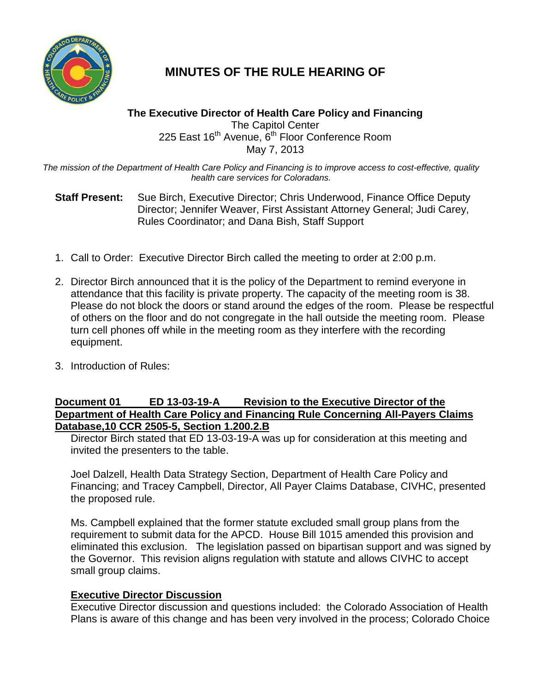

## **MINUTES OF THE RULE HEARING OF**

## **The Executive Director of Health Care Policy and Financing** The Capitol Center 225 East 16<sup>th</sup> Avenue, 6<sup>th</sup> Floor Conference Room May 7, 2013

*The mission of the Department of Health Care Policy and Financing is to improve access to cost-effective, quality health care services for Coloradans.*

**Staff Present:** Sue Birch, Executive Director; Chris Underwood, Finance Office Deputy Director; Jennifer Weaver, First Assistant Attorney General; Judi Carey, Rules Coordinator; and Dana Bish, Staff Support

- 1. Call to Order: Executive Director Birch called the meeting to order at 2:00 p.m.
- 2. Director Birch announced that it is the policy of the Department to remind everyone in attendance that this facility is private property. The capacity of the meeting room is 38. Please do not block the doors or stand around the edges of the room. Please be respectful of others on the floor and do not congregate in the hall outside the meeting room. Please turn cell phones off while in the meeting room as they interfere with the recording equipment.
- 3. Introduction of Rules:

## **Document 01 ED 13-03-19-A Revision to the Executive Director of the Department of Health Care Policy and Financing Rule Concerning All-Payers Claims Database,10 CCR 2505-5, Section 1.200.2.B**

Director Birch stated that ED 13-03-19-A was up for consideration at this meeting and invited the presenters to the table.

Joel Dalzell, Health Data Strategy Section, Department of Health Care Policy and Financing; and Tracey Campbell, Director, All Payer Claims Database, CIVHC, presented the proposed rule.

Ms. Campbell explained that the former statute excluded small group plans from the requirement to submit data for the APCD. House Bill 1015 amended this provision and eliminated this exclusion. The legislation passed on bipartisan support and was signed by the Governor. This revision aligns regulation with statute and allows CIVHC to accept small group claims.

## **Executive Director Discussion**

Executive Director discussion and questions included: the Colorado Association of Health Plans is aware of this change and has been very involved in the process; Colorado Choice